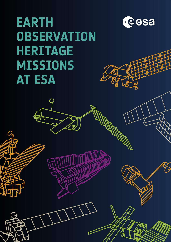## **EARTH OBSERVATION HERITAGE MISSIONS AT ESA**

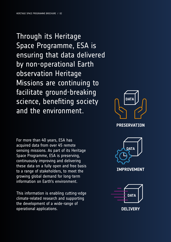Through its Heritage Space Programme, ESA is ensuring that data delivered by non-operational Earth observation Heritage Missions are continuing to facilitate ground-breaking science, benefiting society and the environment.

For more than 40 years, ESA has acquired data from over 45 remote sensing missions. As part of its Heritage Space Programme, ESA is preserving, continuously improving and delivering these data on a fully open and free basis to a range of stakeholders, to meet the growing global demand for long-term information on Earth's environment.

This information is enabling cutting-edge climate-related research and supporting the development of a wide-range of operational applications.



**PRESERVATION**



**IMPROVEMENT**



**DELIVERY**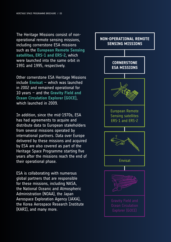The Heritage Missions consist of nonoperational remote sensing missions, including cornerstone ESA missions such as the **European Remote Sensing satellites, ERS-1 and ERS-2**, which were launched into the same orbit in 1991 and 1995, respectively.

Other cornerstone ESA Heritage Missions include **Envisat** – which was launched in 2002 and remained operational for 10 years – and the **Gravity Field and Ocean Circulation Explorer (GOCE)**, which launched in 2009.

In addition, since the mid-1970s, ESA has had agreements to acquire and distribute data to European stakeholders from several missions operated by international partners. Data over Europe delivered by these missions and acquired by ESA are also covered as part of the Heritage Space Programme starting five years after the missions reach the end of their operational phase.

ESA is collaborating with numerous global partners that are responsible for these missions, including NASA, the National Oceanic and Atmospheric Administration (NOAA), the Japan Aerospace Exploration Agency (JAXA), the Korea Aerospace Research Institute (KARI), and many more.

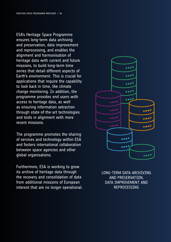ESA's Heritage Space Programme ensures long-term data archiving and preservation, data improvement and reprocessing, and enables the alignment and harmonisation of heritage data with current and future missions, to build long-term time series that detail different aspects of Earth's environment. This is crucial for applications that require the capability to look back in time, like climate change monitoring. In addition, the programme provides end users with access to heritage data, as well as ensuring information extraction through state-of-the-art technologies and tools in alignment with more recent missions.

The programme promotes the sharing of services and technology within ESA and fosters international collaboration between space agencies and other global organisations.

Furthermore, ESA is working to grow its archive of heritage data through the recovery and consolidation of data from additional missions of European interest that are no longer operational.



LONG-TERM DATA ARCHIVING AND PRESERVATION, DATA IMPROVEMENT AND REPROCESSING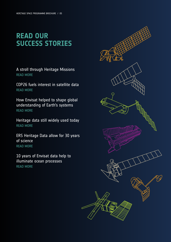## **READ OUR SUCCESS STORIES**

A stroll through Heritage Missions [READ MORE](https://earth.esa.int/eogateway/news/a-stroll-through-heritage-missions?text=a+stroll+through+heritage+missions)

COP26 fuels interest in satellite data [READ MORE](https://earth.esa.int/eogateway/news/cop26-fuels-interest-in-satellite-data?text=cop26+fuels+interest+in+satellite+data)

How Envisat helped to shape global understanding of Earth's systems [READ MORE](https://earth.esa.int/eogateway/news/how-envisat-helped-to-shape-global-understanding-of-earth-s-systems)

Heritage data still widely used today [READ MORE](https://earth.esa.int/eogateway/news/heritage-data-still-widely-used-today)

ERS Heritage Data allow for 30 years of science [READ MORE](https://earth.esa.int/eogateway/news/ers-heritage-data-allow-for-30-years-of-science)

10 years of Envisat data help to illuminate ocean processes [READ MORE](https://earth.esa.int/eogateway/news/10-years-of-envisat-data-help-to-illuminate-ocean-processes)

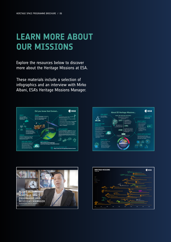## **LEARN MORE ABOUT OUR MISSIONS**

Explore the resources below to discover more about the Heritage Missions at ESA.

These materials include a selection of infographics and an interview with Mirko Albani, ESA's Heritage Missions Manager.